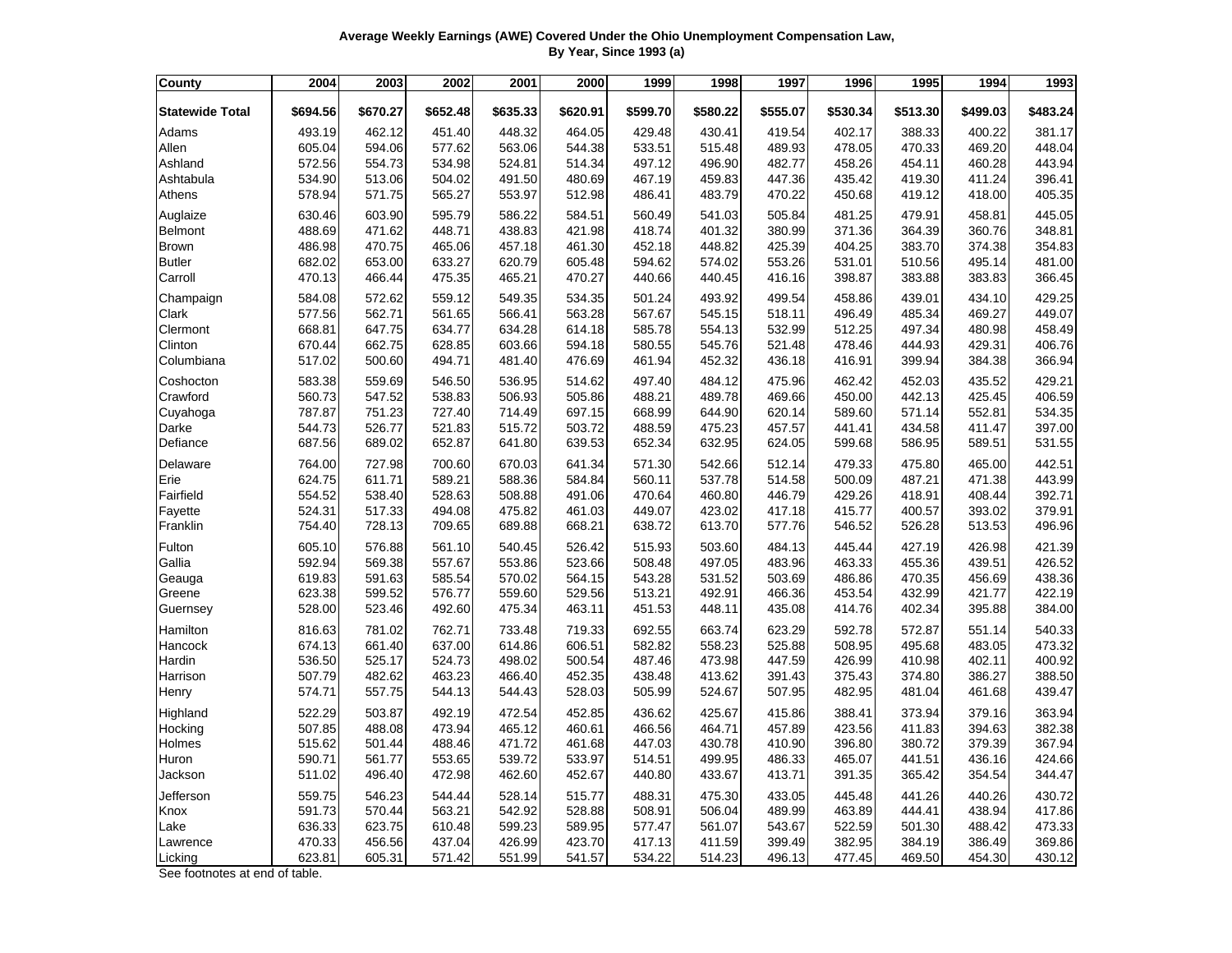| Average Weekly Earnings (AWE) Covered Under the Ohio Unemployment Compensation Law, |
|-------------------------------------------------------------------------------------|
| By Year, Since 1993 (a)                                                             |

| County                 | 2004     | 2003     | 2002     | 2001     | 2000     | 1999     | 1998     | 1997     | 1996     | 1995     | 1994     | 1993     |
|------------------------|----------|----------|----------|----------|----------|----------|----------|----------|----------|----------|----------|----------|
| <b>Statewide Total</b> | \$694.56 | \$670.27 | \$652.48 | \$635.33 | \$620.91 | \$599.70 | \$580.22 | \$555.07 | \$530.34 | \$513.30 | \$499.03 | \$483.24 |
| Adams                  | 493.19   | 462.12   | 451.40   | 448.32   | 464.05   | 429.48   | 430.41   | 419.54   | 402.17   | 388.33   | 400.22   | 381.17   |
| Allen                  | 605.04   | 594.06   | 577.62   | 563.06   | 544.38   | 533.51   | 515.48   | 489.93   | 478.05   | 470.33   | 469.20   | 448.04   |
| Ashland                | 572.56   | 554.73   | 534.98   | 524.81   | 514.34   | 497.12   | 496.90   | 482.77   | 458.26   | 454.11   | 460.28   | 443.94   |
| Ashtabula              | 534.90   | 513.06   | 504.02   | 491.50   | 480.69   | 467.19   | 459.83   | 447.36   | 435.42   | 419.30   | 411.24   | 396.41   |
| Athens                 | 578.94   | 571.75   | 565.27   | 553.97   | 512.98   | 486.41   | 483.79   | 470.22   | 450.68   | 419.12   | 418.00   | 405.35   |
| Auglaize               | 630.46   | 603.90   | 595.79   | 586.22   | 584.51   | 560.49   | 541.03   | 505.84   | 481.25   | 479.91   | 458.81   | 445.05   |
| Belmont                | 488.69   | 471.62   | 448.71   | 438.83   | 421.98   | 418.74   | 401.32   | 380.99   | 371.36   | 364.39   | 360.76   | 348.81   |
| <b>Brown</b>           | 486.98   | 470.75   | 465.06   | 457.18   | 461.30   | 452.18   | 448.82   | 425.39   | 404.25   | 383.70   | 374.38   | 354.83   |
| <b>Butler</b>          | 682.02   | 653.00   | 633.27   | 620.79   | 605.48   | 594.62   | 574.02   | 553.26   | 531.01   | 510.56   | 495.14   | 481.00   |
| Carroll                | 470.13   | 466.44   | 475.35   | 465.21   | 470.27   | 440.66   | 440.45   | 416.16   | 398.87   | 383.88   | 383.83   | 366.45   |
| Champaign              | 584.08   | 572.62   | 559.12   | 549.35   | 534.35   | 501.24   | 493.92   | 499.54   | 458.86   | 439.01   | 434.10   | 429.25   |
| Clark                  | 577.56   | 562.71   | 561.65   | 566.41   | 563.28   | 567.67   | 545.15   | 518.11   | 496.49   | 485.34   | 469.27   | 449.07   |
| Clermont               | 668.81   | 647.75   | 634.77   | 634.28   | 614.18   | 585.78   | 554.13   | 532.99   | 512.25   | 497.34   | 480.98   | 458.49   |
| Clinton                | 670.44   | 662.75   | 628.85   | 603.66   | 594.18   | 580.55   | 545.76   | 521.48   | 478.46   | 444.93   | 429.31   | 406.76   |
| Columbiana             | 517.02   | 500.60   | 494.71   | 481.40   | 476.69   | 461.94   | 452.32   | 436.18   | 416.91   | 399.94   | 384.38   | 366.94   |
| Coshocton              | 583.38   | 559.69   | 546.50   | 536.95   | 514.62   | 497.40   | 484.12   | 475.96   | 462.42   | 452.03   | 435.52   | 429.21   |
| Crawford               | 560.73   | 547.52   | 538.83   | 506.93   | 505.86   | 488.21   | 489.78   | 469.66   | 450.00   | 442.13   | 425.45   | 406.59   |
| Cuyahoga               | 787.87   | 751.23   | 727.40   | 714.49   | 697.15   | 668.99   | 644.90   | 620.14   | 589.60   | 571.14   | 552.81   | 534.35   |
| Darke                  | 544.73   | 526.77   | 521.83   | 515.72   | 503.72   | 488.59   | 475.23   | 457.57   | 441.41   | 434.58   | 411.47   | 397.00   |
| Defiance               | 687.56   | 689.02   | 652.87   | 641.80   | 639.53   | 652.34   | 632.95   | 624.05   | 599.68   | 586.95   | 589.51   | 531.55   |
| Delaware               | 764.00   | 727.98   | 700.60   | 670.03   | 641.34   | 571.30   | 542.66   | 512.14   | 479.33   | 475.80   | 465.00   | 442.51   |
| Erie                   | 624.75   | 611.71   | 589.21   | 588.36   | 584.84   | 560.11   | 537.78   | 514.58   | 500.09   | 487.21   | 471.38   | 443.99   |
| Fairfield              | 554.52   | 538.40   | 528.63   | 508.88   | 491.06   | 470.64   | 460.80   | 446.79   | 429.26   | 418.91   | 408.44   | 392.71   |
| Fayette                | 524.31   | 517.33   | 494.08   | 475.82   | 461.03   | 449.07   | 423.02   | 417.18   | 415.77   | 400.57   | 393.02   | 379.91   |
| Franklin               | 754.40   | 728.13   | 709.65   | 689.88   | 668.21   | 638.72   | 613.70   | 577.76   | 546.52   | 526.28   | 513.53   | 496.96   |
| Fulton                 | 605.10   | 576.88   | 561.10   | 540.45   | 526.42   | 515.93   | 503.60   | 484.13   | 445.44   | 427.19   | 426.98   | 421.39   |
| Gallia                 | 592.94   | 569.38   | 557.67   | 553.86   | 523.66   | 508.48   | 497.05   | 483.96   | 463.33   | 455.36   | 439.51   | 426.52   |
| Geauga                 | 619.83   | 591.63   | 585.54   | 570.02   | 564.15   | 543.28   | 531.52   | 503.69   | 486.86   | 470.35   | 456.69   | 438.36   |
| Greene                 | 623.38   | 599.52   | 576.77   | 559.60   | 529.56   | 513.21   | 492.91   | 466.36   | 453.54   | 432.99   | 421.77   | 422.19   |
| Guernsey               | 528.00   | 523.46   | 492.60   | 475.34   | 463.11   | 451.53   | 448.11   | 435.08   | 414.76   | 402.34   | 395.88   | 384.00   |
| Hamilton               | 816.63   | 781.02   | 762.71   | 733.48   | 719.33   | 692.55   | 663.74   | 623.29   | 592.78   | 572.87   | 551.14   | 540.33   |
| Hancock                | 674.13   | 661.40   | 637.00   | 614.86   | 606.51   | 582.82   | 558.23   | 525.88   | 508.95   | 495.68   | 483.05   | 473.32   |
| Hardin                 | 536.50   | 525.17   | 524.73   | 498.02   | 500.54   | 487.46   | 473.98   | 447.59   | 426.99   | 410.98   | 402.11   | 400.92   |
| Harrison               | 507.79   | 482.62   | 463.23   | 466.40   | 452.35   | 438.48   | 413.62   | 391.43   | 375.43   | 374.80   | 386.27   | 388.50   |
| Henry                  | 574.71   | 557.75   | 544.13   | 544.43   | 528.03   | 505.99   | 524.67   | 507.95   | 482.95   | 481.04   | 461.68   | 439.47   |
| Highland               | 522.29   | 503.87   | 492.19   | 472.54   | 452.85   | 436.62   | 425.67   | 415.86   | 388.41   | 373.94   | 379.16   | 363.94   |
| Hocking                | 507.85   | 488.08   | 473.94   | 465.12   | 460.61   | 466.56   | 464.71   | 457.89   | 423.56   | 411.83   | 394.63   | 382.38   |
| Holmes                 | 515.62   | 501.44   | 488.46   | 471.72   | 461.68   | 447.03   | 430.78   | 410.90   | 396.80   | 380.72   | 379.39   | 367.94   |
| Huron                  | 590.71   | 561.77   | 553.65   | 539.72   | 533.97   | 514.51   | 499.95   | 486.33   | 465.07   | 441.51   | 436.16   | 424.66   |
| Jackson                | 511.02   | 496.40   | 472.98   | 462.60   | 452.67   | 440.80   | 433.67   | 413.71   | 391.35   | 365.42   | 354.54   | 344.47   |
| Jefferson              | 559.75   | 546.23   | 544.44   | 528.14   | 515.77   | 488.31   | 475.30   | 433.05   | 445.48   | 441.26   | 440.26   | 430.72   |
| Knox                   | 591.73   | 570.44   | 563.21   | 542.92   | 528.88   | 508.91   | 506.04   | 489.99   | 463.89   | 444.41   | 438.94   | 417.86   |
| Lake                   | 636.33   | 623.75   | 610.48   | 599.23   | 589.95   | 577.47   | 561.07   | 543.67   | 522.59   | 501.30   | 488.42   | 473.33   |
| Lawrence               | 470.33   | 456.56   | 437.04   | 426.99   | 423.70   | 417.13   | 411.59   | 399.49   | 382.95   | 384.19   | 386.49   | 369.86   |
| Licking                | 623.81   | 605.31   | 571.42   | 551.99   | 541.57   | 534.22   | 514.23   | 496.13   | 477.45   | 469.50   | 454.30   | 430.12   |

See footnotes at end of table.